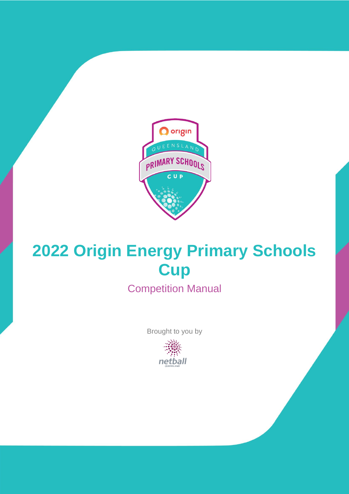

# **2022 Origin Energy Primary Schools Cup**

Competition Manual

Brought to you by

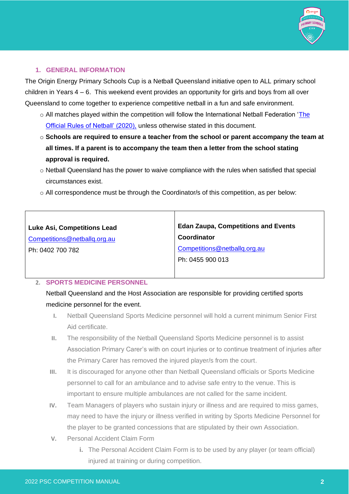

## **1. GENERAL INFORMATION**

The Origin Energy Primary Schools Cup is a Netball Queensland initiative open to ALL primary school children in Years 4 – 6. This weekend event provides an opportunity for girls and boys from all over Queensland to come together to experience competitive netball in a fun and safe environment.

- o All matches played within the competition will follow the International Netball Federation 'The [Official Rules of Netball' \(2020\),](https://netball.com.au/sites/default/files/2020-02/INF-RulesofNetball2020.pdf) unless otherwise stated in this document.
- o **Schools are required to ensure a teacher from the school or parent accompany the team at all times. If a parent is to accompany the team then a letter from the school stating approval is required.**
- o Netball Queensland has the power to waive compliance with the rules when satisfied that special circumstances exist.
- $\circ$  All correspondence must be through the Coordinator/s of this competition, as per below:

| <b>Luke Asi, Competitions Lead</b> | <b>Edan Zaupa, Competitions and Events</b> |
|------------------------------------|--------------------------------------------|
| Competitions@netballq.org.au       | Coordinator                                |
| Ph: 0402 700 782                   | Competitions@netballq.org.au               |
|                                    | Ph: 0455 900 013                           |
|                                    |                                            |

## **2. SPORTS MEDICINE PERSONNEL**

Netball Queensland and the Host Association are responsible for providing certified sports medicine personnel for the event.

- **I.** Netball Queensland Sports Medicine personnel will hold a current minimum Senior First Aid certificate.
- **II.** The responsibility of the Netball Queensland Sports Medicine personnel is to assist Association Primary Carer's with on court injuries or to continue treatment of injuries after the Primary Carer has removed the injured player/s from the court.
- **III.** It is discouraged for anyone other than Netball Queensland officials or Sports Medicine personnel to call for an ambulance and to advise safe entry to the venue. This is important to ensure multiple ambulances are not called for the same incident.
- **IV.** Team Managers of players who sustain injury or illness and are required to miss games, may need to have the injury or illness verified in writing by Sports Medicine Personnel for the player to be granted concessions that are stipulated by their own Association.
- **V.** Personal Accident Claim Form
	- **i.** The Personal Accident Claim Form is to be used by any player (or team official) injured at training or during competition.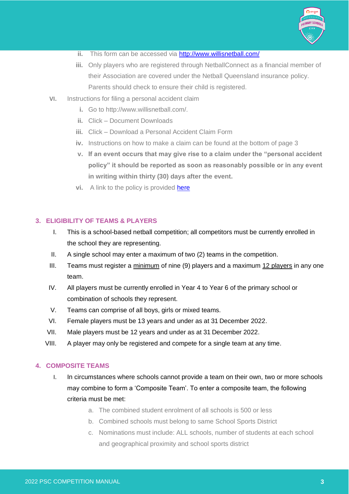

- **ii.** This form can be accessed via<http://www.willisnetball.com/>
- **iii.** Only players who are registered through NetballConnect as a financial member of their Association are covered under the Netball Queensland insurance policy. Parents should check to ensure their child is registered.
- **VI.** Instructions for filing a personal accident claim
	- **i.** Go to http://www.willisnetball.com/.
	- **ii.** Click Document Downloads
	- **iii.** Click Download a Personal Accident Claim Form
	- **iv.** Instructions on how to make a claim can be found at the bottom of page 3
	- **v. If an event occurs that may give rise to a claim under the "personal accident policy" it should be reported as soon as reasonably possible or in any event in writing within thirty (30) days after the event.**
	- **vi.** A link to the policy is provided **here**

## **3. ELIGIBILITY OF TEAMS & PLAYERS**

- I. This is a school-based netball competition; all competitors must be currently enrolled in the school they are representing.
- II. A single school may enter a maximum of two (2) teams in the competition.
- III. Teams must register a  $minimum$  of nine (9) players and a maximum  $12$  players in any one team.
- IV. All players must be currently enrolled in Year 4 to Year 6 of the primary school or combination of schools they represent.
- V. Teams can comprise of all boys, girls or mixed teams.
- VI. Female players must be 13 years and under as at 31 December 2022.
- VII. Male players must be 12 years and under as at 31 December 2022.
- VIII. A player may only be registered and compete for a single team at any time.

#### **4. COMPOSITE TEAMS**

- I. In circumstances where schools cannot provide a team on their own, two or more schools may combine to form a 'Composite Team'. To enter a composite team, the following criteria must be met:
	- a. The combined student enrolment of all schools is 500 or less
	- b. Combined schools must belong to same School Sports District
	- c. Nominations must include: ALL schools, number of students at each school and geographical proximity and school sports district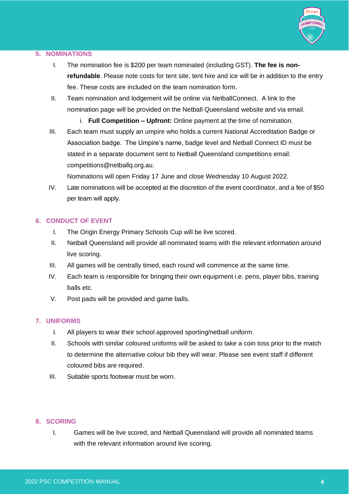

## **5. NOMINATIONS**

- I. The nomination fee is \$200 per team nominated (including GST). **The fee is nonrefundable**. Please note costs for tent site, tent hire and ice will be in addition to the entry fee. These costs are included on the team nomination form.
- II. Team nomination and lodgement will be online via NetballConnect. A link to the nomination page will be provided on the Netball Queensland website and via email.
	- i. **Full Competition – Upfront:** Online payment at the time of nomination.
- III. Each team must supply an umpire who holds a current National Accreditation Badge or Association badge. The Umpire's name, badge level and Netball Connect ID must be stated in a separate document sent to Netball Queensland competitions email: competitions@netballq.org.au.

Nominations will open Friday 17 June and close Wednesday 10 August 2022.

IV. Late nominations will be accepted at the discretion of the event coordinator, and a fee of \$50 per team will apply.

## **6. CONDUCT OF EVENT**

- I. The Origin Energy Primary Schools Cup will be live scored.
- II. Netball Queensland will provide all nominated teams with the relevant information around live scoring.
- III. All games will be centrally timed, each round will commence at the same time.
- IV. Each team is responsible for bringing their own equipment i.e. pens, player bibs, training balls etc.
- V. Post pads will be provided and game balls.

#### **7. UNIFORMS**

- I. All players to wear their school approved sporting/netball uniform.
- II. Schools with similar coloured uniforms will be asked to take a coin toss prior to the match to determine the alternative colour bib they will wear. Please see event staff if different coloured bibs are required.
- III. Suitable sports footwear must be worn.

## **8. SCORING**

I. Games will be live scored, and Netball Queensland will provide all nominated teams with the relevant information around live scoring.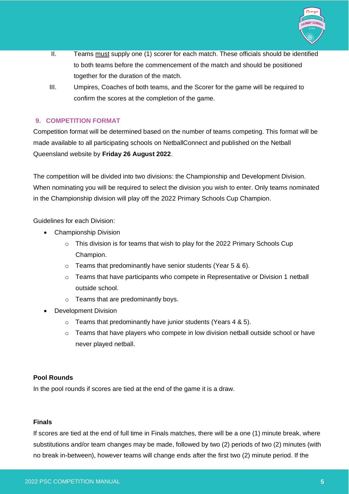

- II. Teams must supply one (1) scorer for each match. These officials should be identified to both teams before the commencement of the match and should be positioned together for the duration of the match.
- III. Umpires, Coaches of both teams, and the Scorer for the game will be required to confirm the scores at the completion of the game.

## **9. COMPETITION FORMAT**

Competition format will be determined based on the number of teams competing. This format will be made available to all participating schools on NetballConnect and published on the Netball Queensland website by **Friday 26 August 2022**.

The competition will be divided into two divisions: the Championship and Development Division. When nominating you will be required to select the division you wish to enter. Only teams nominated in the Championship division will play off the 2022 Primary Schools Cup Champion.

Guidelines for each Division:

- Championship Division
	- $\circ$  This division is for teams that wish to play for the 2022 Primary Schools Cup Champion.
	- $\circ$  Teams that predominantly have senior students (Year 5 & 6).
	- $\circ$  Teams that have participants who compete in Representative or Division 1 netball outside school.
	- o Teams that are predominantly boys.
- Development Division
	- $\circ$  Teams that predominantly have junior students (Years 4 & 5).
	- o Teams that have players who compete in low division netball outside school or have never played netball.

## **Pool Rounds**

In the pool rounds if scores are tied at the end of the game it is a draw.

## **Finals**

If scores are tied at the end of full time in Finals matches, there will be a one (1) minute break, where substitutions and/or team changes may be made, followed by two (2) periods of two (2) minutes (with no break in-between), however teams will change ends after the first two (2) minute period. If the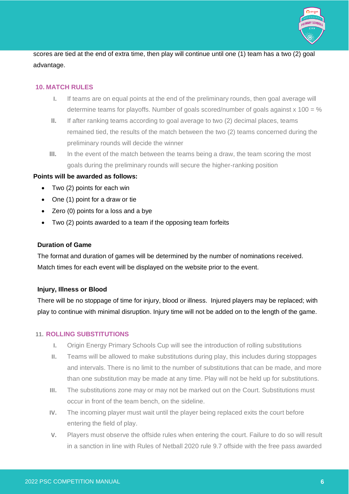

scores are tied at the end of extra time, then play will continue until one (1) team has a two (2) goal advantage.

## **10. MATCH RULES**

- **I.** If teams are on equal points at the end of the preliminary rounds, then goal average will determine teams for playoffs. Number of goals scored/number of goals against  $x$  100 = %
- **II.** If after ranking teams according to goal average to two (2) decimal places, teams remained tied, the results of the match between the two (2) teams concerned during the preliminary rounds will decide the winner
- **III.** In the event of the match between the teams being a draw, the team scoring the most goals during the preliminary rounds will secure the higher-ranking position

#### **Points will be awarded as follows:**

- Two (2) points for each win
- One (1) point for a draw or tie
- Zero (0) points for a loss and a bye
- Two (2) points awarded to a team if the opposing team forfeits

#### **Duration of Game**

The format and duration of games will be determined by the number of nominations received. Match times for each event will be displayed on the website prior to the event.

#### **Injury, Illness or Blood**

There will be no stoppage of time for injury, blood or illness. Injured players may be replaced; with play to continue with minimal disruption. Injury time will not be added on to the length of the game.

#### **11. ROLLING SUBSTITUTIONS**

- **I.** Origin Energy Primary Schools Cup will see the introduction of rolling substitutions
- **II.** Teams will be allowed to make substitutions during play, this includes during stoppages and intervals. There is no limit to the number of substitutions that can be made, and more than one substitution may be made at any time. Play will not be held up for substitutions.
- **III.** The substitutions zone may or may not be marked out on the Court. Substitutions must occur in front of the team bench, on the sideline.
- **IV.** The incoming player must wait until the player being replaced exits the court before entering the field of play.
- **V.** Players must observe the offside rules when entering the court. Failure to do so will result in a sanction in line with Rules of Netball 2020 rule 9.7 offside with the free pass awarded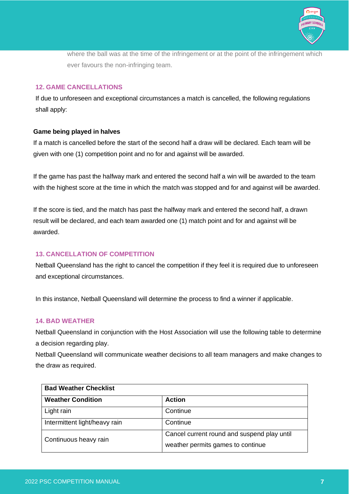

where the ball was at the time of the infringement or at the point of the infringement which ever favours the non-infringing team.

## **12. GAME CANCELLATIONS**

If due to unforeseen and exceptional circumstances a match is cancelled, the following regulations shall apply:

#### **Game being played in halves**

If a match is cancelled before the start of the second half a draw will be declared. Each team will be given with one (1) competition point and no for and against will be awarded.

If the game has past the halfway mark and entered the second half a win will be awarded to the team with the highest score at the time in which the match was stopped and for and against will be awarded.

If the score is tied, and the match has past the halfway mark and entered the second half, a drawn result will be declared, and each team awarded one (1) match point and for and against will be awarded.

## **13. CANCELLATION OF COMPETITION**

Netball Queensland has the right to cancel the competition if they feel it is required due to unforeseen and exceptional circumstances.

In this instance, Netball Queensland will determine the process to find a winner if applicable.

## **14. BAD WEATHER**

Netball Queensland in conjunction with the Host Association will use the following table to determine a decision regarding play.

Netball Queensland will communicate weather decisions to all team managers and make changes to the draw as required.

| <b>Bad Weather Checklist</b>  |                                                                                  |
|-------------------------------|----------------------------------------------------------------------------------|
| <b>Weather Condition</b>      | <b>Action</b>                                                                    |
| Light rain                    | Continue                                                                         |
| Intermittent light/heavy rain | Continue                                                                         |
| Continuous heavy rain         | Cancel current round and suspend play until<br>weather permits games to continue |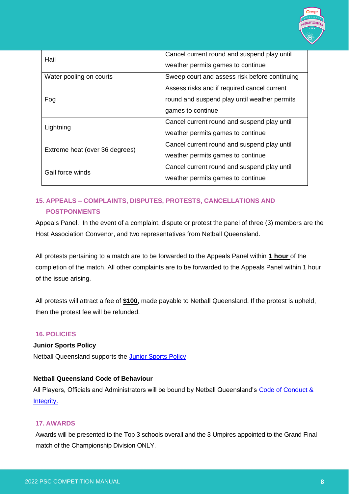

| Hail                           | Cancel current round and suspend play until   |
|--------------------------------|-----------------------------------------------|
|                                | weather permits games to continue             |
| Water pooling on courts        | Sweep court and assess risk before continuing |
| Fog                            | Assess risks and if required cancel current   |
|                                | round and suspend play until weather permits  |
|                                | games to continue                             |
| Lightning                      | Cancel current round and suspend play until   |
|                                | weather permits games to continue             |
| Extreme heat (over 36 degrees) | Cancel current round and suspend play until   |
|                                | weather permits games to continue             |
| Gail force winds               | Cancel current round and suspend play until   |
|                                | weather permits games to continue             |

## **15. APPEALS – COMPLAINTS, DISPUTES, PROTESTS, CANCELLATIONS AND POSTPONMENTS**

Appeals Panel. In the event of a complaint, dispute or protest the panel of three (3) members are the Host Association Convenor, and two representatives from Netball Queensland.

All protests pertaining to a match are to be forwarded to the Appeals Panel within **1 hour** of the completion of the match. All other complaints are to be forwarded to the Appeals Panel within 1 hour of the issue arising.

All protests will attract a fee of **\$100**, made payable to Netball Queensland. If the protest is upheld, then the protest fee will be refunded.

## **16. POLICIES**

#### **Junior Sports Policy**

Netball Queensland supports the [Junior Sports Policy.](https://qld.netball.com.au/sites/qld/files/2020-01/JuniorPolicy2015Finalforweb.pdf)

#### **Netball Queensland Code of Behaviour**

All Players, Officials and Administrators will be bound by Netball Queensland's Code of Conduct & [Integrity.](https://qld.netball.com.au/sites/qld/files/2020-11/NQ%20Code%20of%20Conduct%20Integrity_Nov%202020.pdf)

#### **17. AWARDS**

Awards will be presented to the Top 3 schools overall and the 3 Umpires appointed to the Grand Final match of the Championship Division ONLY.